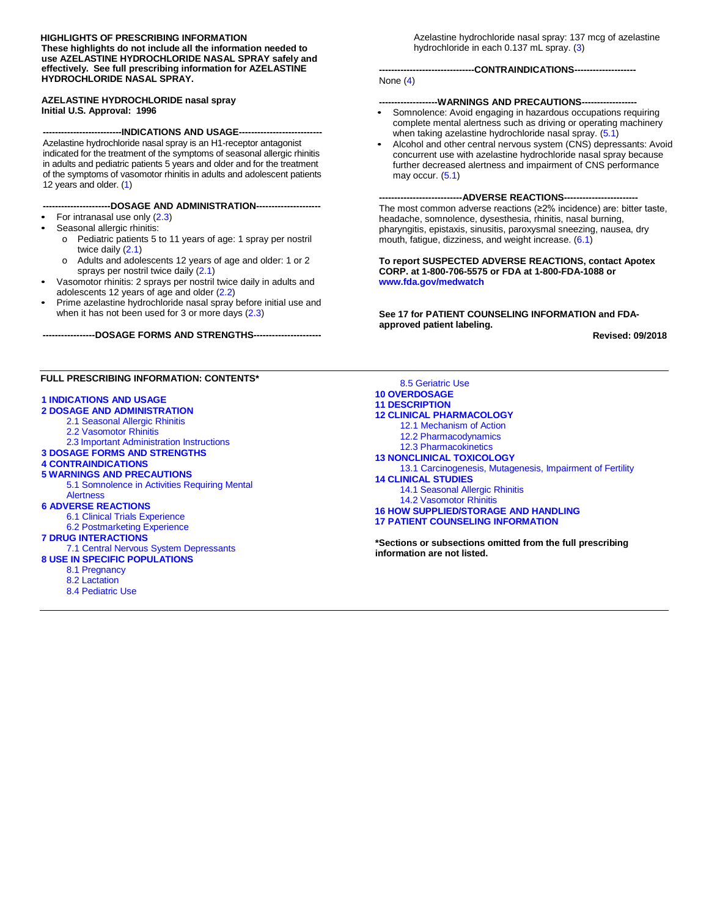#### **HIGHLIGHTS OF PRESCRIBING INFORMATION These highlights do not include all the information needed to use AZELASTINE HYDROCHLORIDE NASAL SPRAY safely and effectively. See full prescribing information for AZELASTINE HYDROCHLORIDE NASAL SPRAY.**

#### **AZELASTINE HYDROCHLORIDE nasal spray Initial U.S. Approval: 1996**

**--------------------------INDICATIONS AND USAGE---------------------------** Azelastine hydrochloride nasal spray is an H1-receptor antagonist indicated for the treatment of the symptoms of seasonal allergic rhinitis in adults and pediatric patients 5 years and older and for the treatment of the symptoms of vasomotor rhinitis in adults and adolescent patients 12 years and older. [\(1\)](#page-1-0)

#### **----------------------DOSAGE AND ADMINISTRATION---------------------**

- For intranasal use only [\(2.3\)](#page-1-1)
- Seasonal allergic rhinitis:
	- o Pediatric patients 5 to 11 years of age: 1 spray per nostril twice daily [\(2.1\)](#page-1-2)
	- o Adults and adolescents 12 years of age and older: 1 or 2 sprays per nostril twice daily [\(2.1\)](#page-1-2)
- Vasomotor rhinitis: 2 sprays per nostril twice daily in adults and adolescents 12 years of age and older [\(2.2\)](#page-1-3)
- Prime azelastine hydrochloride nasal spray before initial use and when it has not been used for 3 or more days [\(2.3\)](#page-1-1)

**-----------------DOSAGE FORMS AND STRENGTHS----------------------**

#### **FULL PRESCRIBING INFORMATION: CONTENTS\***

#### **[1 INDICATIONS AND](#page-1-0) USAGE**

- **[2 DOSAGE AND ADMINISTRATION](#page-1-7)**
	- [2.1 Seasonal](#page-1-2) Allergic Rhinitis
	- [2.2 Vasomotor Rhinitis](#page-1-3)
- 2.3 Important [Administration](#page-1-1) Instructions
- **3 DOSAGE FORMS AND [STRENGTHS](#page-1-4)**
- **[4 CONTRAINDICATIONS](#page-1-5)**
- **[5 WARNINGS AND](#page-1-8) PRECAUTIONS**
	- 5.1 Somnolence in [Activities Requiring](#page-1-6) Mental **[Alertness](#page-1-6)**

#### **6 ADVERSE [REACTIONS](#page-1-9)**

- 6.1 Clinical [Trials Experience](#page-2-0)
- [6.2 Postmarketing](#page-4-0) Experience

#### **[7 DRUG INTERACTIONS](#page-4-1)**

- 7.1 Central [Nervous System Depressants](#page-4-2)
- **8 USE IN SPECIFIC [POPULATIONS](#page-5-0)**
	- [8.1 Pregnancy](#page-5-1)
	- [8.2 Lactation](#page-6-0)
	- [8.4 Pediatric](#page-6-1) Use

Azelastine hydrochloride nasal spray: 137 mcg of azelastine hydrochloride in each 0.137 mL spray. [\(3\)](#page-1-4)

#### **-------------------------------CONTRAINDICATIONS--------------------**

#### None [\(4\)](#page-1-5)

#### ---WARNINGS AND PRECAUTIONS----

- Somnolence: Avoid engaging in hazardous occupations requiring complete mental alertness such as driving or operating machinery when taking azelastine hydrochloride nasal spray. [\(5.1\)](#page-1-6)
- Alcohol and other central nervous system (CNS) depressants: Avoid concurrent use with azelastine hydrochloride nasal spray because further decreased alertness and impairment of CNS performance may occur. [\(5.1\)](#page-1-6)

**---------------------------ADVERSE REACTIONS------------------------** The most common adverse reactions (≥2% incidence) are: bitter taste,

headache, somnolence, dysesthesia, rhinitis, nasal burning, pharyngitis, epistaxis, sinusitis, paroxysmal sneezing, nausea, dry mouth, fatigue, dizziness, and weight increase. [\(6.1\)](#page-2-0)

#### **To report SUSPECTED ADVERSE REACTIONS, contact Apotex CORP. at 1-800-706-5575 or FDA at 1-800-FDA-1088 or [www.fda.gov/medwatch](http://www.fda.gov/medwatch)**

**See 17 for PATIENT COUNSELING INFORMATION and FDAapproved patient labeling.**

**Revised: 09/2018**

[8.5 Geriatric](#page-6-2) Use **10 OVERDOSAGE [11 DESCRIPTION](#page-6-3) 12 CLINICAL [PHARMACOLOGY](#page-7-0)** [12.1 Mechanism of Action](#page-7-1) [12.2 Pharmacodynamics](#page-7-2) [12.3 Pharmacokinetics](#page-7-3) **[13 NONCLINICAL](#page-9-0) TOXICOLOGY** [13.1 Carcinogenesis,](#page-9-1) Mutagenesis, Impairment of Fertility **[14 CLINICAL](#page-9-2) STUDIES** [14.1 Seasonal](#page-9-3) Allergic Rhinitis [14.2 Vasomotor Rhinitis](#page-11-0) **16 HOW [SUPPLIED/STORAGE](#page-11-1) AND HANDLING 17 PATIENT [COUNSELING INFORMATION](#page-11-2)**

**\*Sections or subsections omitted from the full prescribing information are not listed.**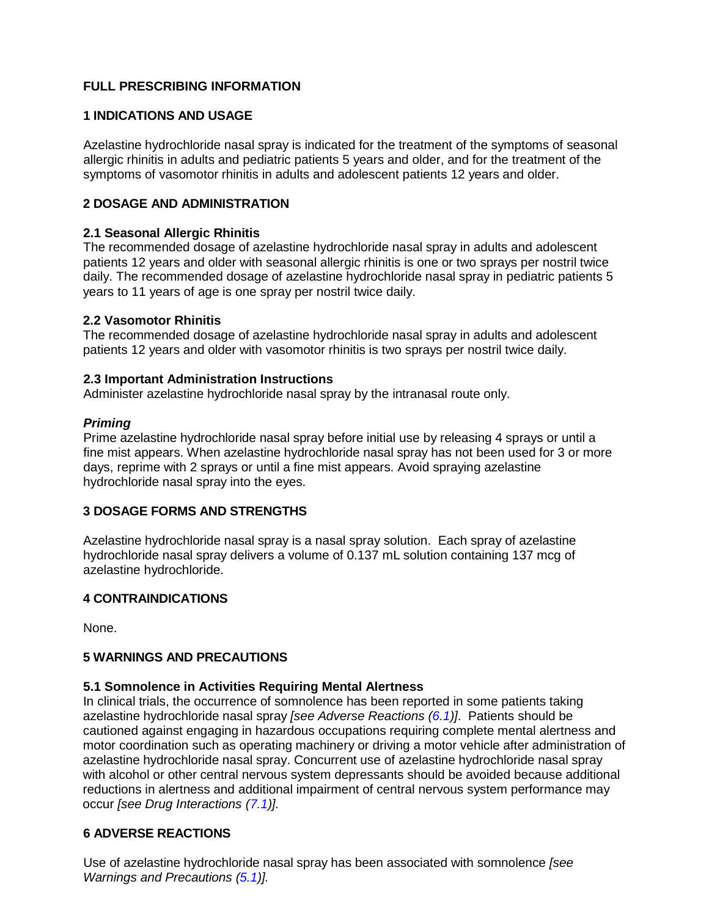# **FULL PRESCRIBING INFORMATION**

## <span id="page-1-0"></span>**1 INDICATIONS AND USAGE**

Azelastine hydrochloride nasal spray is indicated for the treatment of the symptoms of seasonal allergic rhinitis in adults and pediatric patients 5 years and older, and for the treatment of the symptoms of vasomotor rhinitis in adults and adolescent patients 12 years and older.

## <span id="page-1-7"></span>**2 DOSAGE AND ADMINISTRATION**

## <span id="page-1-2"></span>**2.1 Seasonal Allergic Rhinitis**

The recommended dosage of azelastine hydrochloride nasal spray in adults and adolescent patients 12 years and older with seasonal allergic rhinitis is one or two sprays per nostril twice daily. The recommended dosage of azelastine hydrochloride nasal spray in pediatric patients 5 years to 11 years of age is one spray per nostril twice daily.

## <span id="page-1-3"></span>**2.2 Vasomotor Rhinitis**

The recommended dosage of azelastine hydrochloride nasal spray in adults and adolescent patients 12 years and older with vasomotor rhinitis is two sprays per nostril twice daily.

## <span id="page-1-1"></span>**2.3 Important Administration Instructions**

Administer azelastine hydrochloride nasal spray by the intranasal route only.

## *Priming*

Prime azelastine hydrochloride nasal spray before initial use by releasing 4 sprays or until a fine mist appears. When azelastine hydrochloride nasal spray has not been used for 3 or more days, reprime with 2 sprays or until a fine mist appears. Avoid spraying azelastine hydrochloride nasal spray into the eyes.

## <span id="page-1-4"></span>**3 DOSAGE FORMS AND STRENGTHS**

Azelastine hydrochloride nasal spray is a nasal spray solution. Each spray of azelastine hydrochloride nasal spray delivers a volume of 0.137 mL solution containing 137 mcg of azelastine hydrochloride.

## <span id="page-1-5"></span>**4 CONTRAINDICATIONS**

None.

## <span id="page-1-8"></span>**5 WARNINGS AND PRECAUTIONS**

### <span id="page-1-6"></span>**5.1 Somnolence in Activities Requiring Mental Alertness**

In clinical trials, the occurrence of somnolence has been reported in some patients taking azelastine hydrochloride nasal spray *[see Adverse Reactions [\(6.1\)](#page-2-0)]*. Patients should be cautioned against engaging in hazardous occupations requiring complete mental alertness and motor coordination such as operating machinery or driving a motor vehicle after administration of azelastine hydrochloride nasal spray. Concurrent use of azelastine hydrochloride nasal spray with alcohol or other central nervous system depressants should be avoided because additional reductions in alertness and additional impairment of central nervous system performance may occur *[see Drug Interactions [\(7.1\)](#page-4-2)].*

## <span id="page-1-9"></span>**6 ADVERSE REACTIONS**

Use of azelastine hydrochloride nasal spray has been associated with somnolence *[see Warnings and Precautions [\(5.1\)](#page-1-6)].*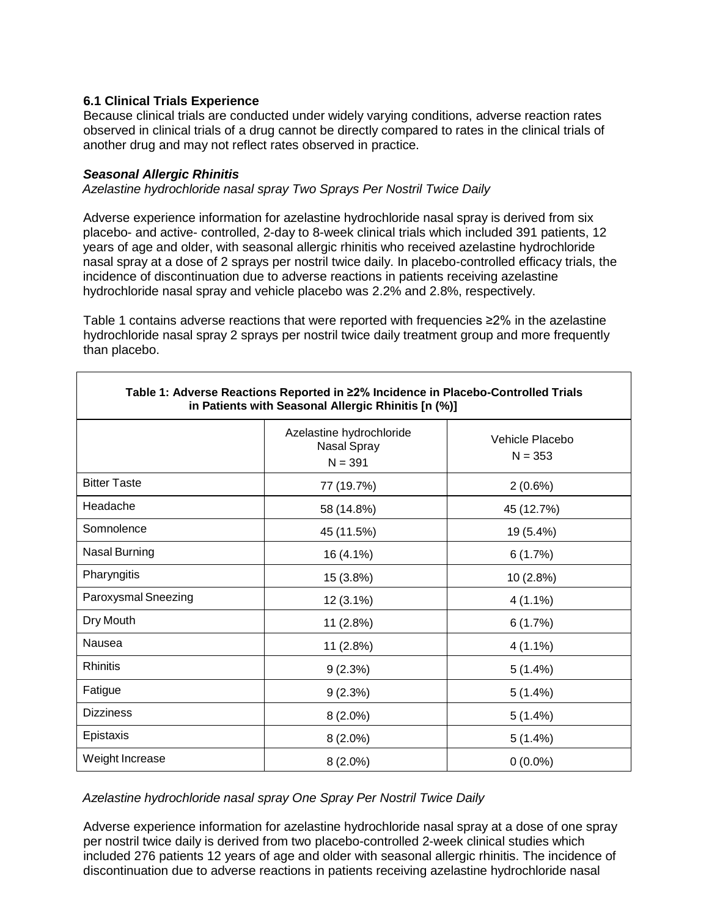## <span id="page-2-0"></span>**6.1 Clinical Trials Experience**

Because clinical trials are conducted under widely varying conditions, adverse reaction rates observed in clinical trials of a drug cannot be directly compared to rates in the clinical trials of another drug and may not reflect rates observed in practice.

## *Seasonal Allergic Rhinitis*

*Azelastine hydrochloride nasal spray Two Sprays Per Nostril Twice Daily*

Adverse experience information for azelastine hydrochloride nasal spray is derived from six placebo- and active- controlled, 2-day to 8-week clinical trials which included 391 patients, 12 years of age and older, with seasonal allergic rhinitis who received azelastine hydrochloride nasal spray at a dose of 2 sprays per nostril twice daily. In placebo-controlled efficacy trials, the incidence of discontinuation due to adverse reactions in patients receiving azelastine hydrochloride nasal spray and vehicle placebo was 2.2% and 2.8%, respectively.

Table 1 contains adverse reactions that were reported with frequencies ≥2% in the azelastine hydrochloride nasal spray 2 sprays per nostril twice daily treatment group and more frequently than placebo.

| Table 1: Adverse Reactions Reported in ≥2% Incidence in Placebo-Controlled Trials<br>in Patients with Seasonal Allergic Rhinitis [n (%)] |                                                             |                              |  |  |
|------------------------------------------------------------------------------------------------------------------------------------------|-------------------------------------------------------------|------------------------------|--|--|
|                                                                                                                                          | Azelastine hydrochloride<br><b>Nasal Spray</b><br>$N = 391$ | Vehicle Placebo<br>$N = 353$ |  |  |
| <b>Bitter Taste</b>                                                                                                                      | 77 (19.7%)                                                  | $2(0.6\%)$                   |  |  |
| Headache                                                                                                                                 | 58 (14.8%)                                                  | 45 (12.7%)                   |  |  |
| Somnolence                                                                                                                               | 45 (11.5%)                                                  | 19 (5.4%)                    |  |  |
| Nasal Burning                                                                                                                            | 16 (4.1%)                                                   | 6(1.7%)                      |  |  |
| Pharyngitis                                                                                                                              | 15 (3.8%)                                                   | 10 (2.8%)                    |  |  |
| Paroxysmal Sneezing                                                                                                                      | $12(3.1\%)$                                                 | $4(1.1\%)$                   |  |  |
| Dry Mouth                                                                                                                                | 11(2.8%)                                                    | 6(1.7%)                      |  |  |
| Nausea                                                                                                                                   | 11 (2.8%)                                                   | $4(1.1\%)$                   |  |  |
| <b>Rhinitis</b>                                                                                                                          | 9(2.3%)                                                     | $5(1.4\%)$                   |  |  |
| Fatigue                                                                                                                                  | 9(2.3%)                                                     | $5(1.4\%)$                   |  |  |
| <b>Dizziness</b>                                                                                                                         | $8(2.0\%)$                                                  | $5(1.4\%)$                   |  |  |
| Epistaxis                                                                                                                                | $8(2.0\%)$                                                  | $5(1.4\%)$                   |  |  |
| Weight Increase                                                                                                                          | $8(2.0\%)$                                                  | $0(0.0\%)$                   |  |  |

## *Azelastine hydrochloride nasal spray One Spray Per Nostril Twice Daily*

Adverse experience information for azelastine hydrochloride nasal spray at a dose of one spray per nostril twice daily is derived from two placebo-controlled 2-week clinical studies which included 276 patients 12 years of age and older with seasonal allergic rhinitis. The incidence of discontinuation due to adverse reactions in patients receiving azelastine hydrochloride nasal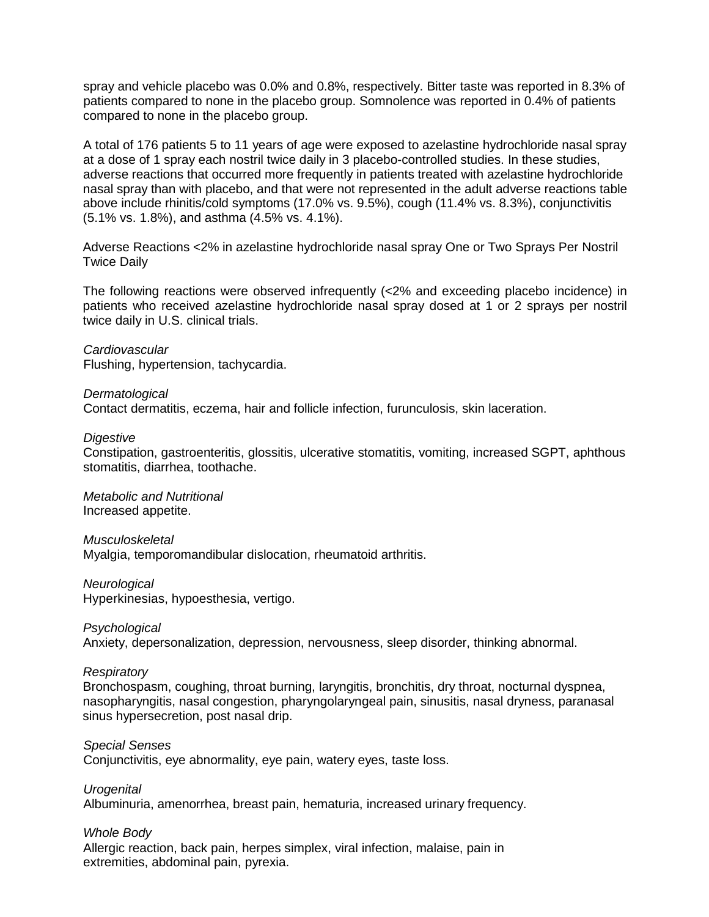spray and vehicle placebo was 0.0% and 0.8%, respectively. Bitter taste was reported in 8.3% of patients compared to none in the placebo group. Somnolence was reported in 0.4% of patients compared to none in the placebo group.

A total of 176 patients 5 to 11 years of age were exposed to azelastine hydrochloride nasal spray at a dose of 1 spray each nostril twice daily in 3 placebo-controlled studies. In these studies, adverse reactions that occurred more frequently in patients treated with azelastine hydrochloride nasal spray than with placebo, and that were not represented in the adult adverse reactions table above include rhinitis/cold symptoms (17.0% vs. 9.5%), cough (11.4% vs. 8.3%), conjunctivitis (5.1% vs. 1.8%), and asthma (4.5% vs. 4.1%).

Adverse Reactions <2% in azelastine hydrochloride nasal spray One or Two Sprays Per Nostril Twice Daily

The following reactions were observed infrequently (<2% and exceeding placebo incidence) in patients who received azelastine hydrochloride nasal spray dosed at 1 or 2 sprays per nostril twice daily in U.S. clinical trials.

*Cardiovascular* Flushing, hypertension, tachycardia.

#### *Dermatological*

Contact dermatitis, eczema, hair and follicle infection, furunculosis, skin laceration.

#### *Digestive*

Constipation, gastroenteritis, glossitis, ulcerative stomatitis, vomiting, increased SGPT, aphthous stomatitis, diarrhea, toothache.

*Metabolic and Nutritional* Increased appetite.

# *Musculoskeletal*

Myalgia, temporomandibular dislocation, rheumatoid arthritis.

#### *Neurological*

Hyperkinesias, hypoesthesia, vertigo.

#### *Psychological*

Anxiety, depersonalization, depression, nervousness, sleep disorder, thinking abnormal.

#### *Respiratory*

Bronchospasm, coughing, throat burning, laryngitis, bronchitis, dry throat, nocturnal dyspnea, nasopharyngitis, nasal congestion, pharyngolaryngeal pain, sinusitis, nasal dryness, paranasal sinus hypersecretion, post nasal drip.

## *Special Senses*

Conjunctivitis, eye abnormality, eye pain, watery eyes, taste loss.

*Urogenital*

Albuminuria, amenorrhea, breast pain, hematuria, increased urinary frequency.

#### *Whole Body*

Allergic reaction, back pain, herpes simplex, viral infection, malaise, pain in extremities, abdominal pain, pyrexia.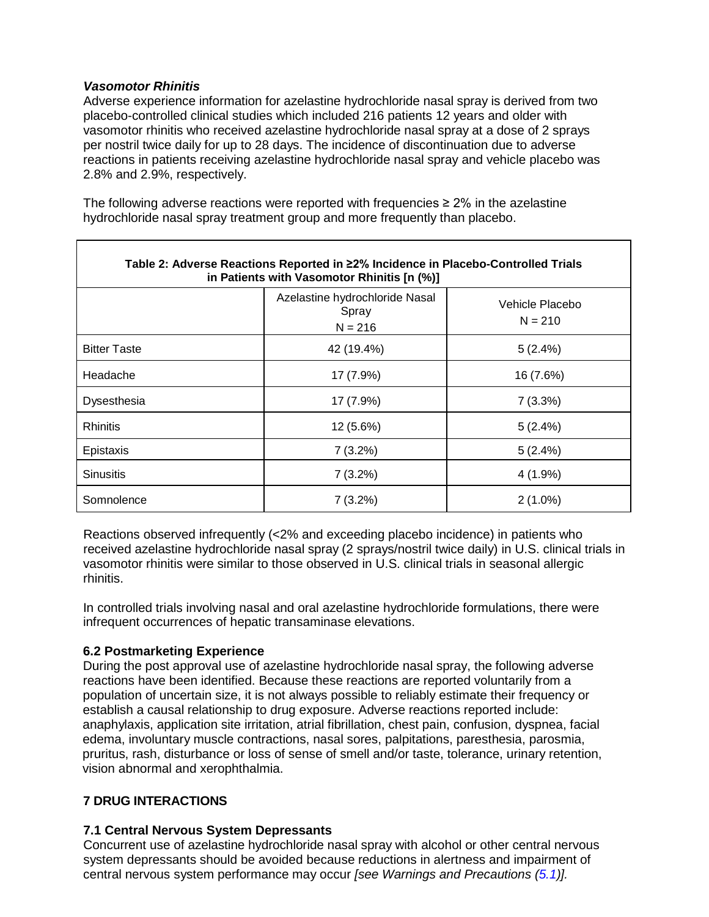## *Vasomotor Rhinitis*

Adverse experience information for azelastine hydrochloride nasal spray is derived from two placebo-controlled clinical studies which included 216 patients 12 years and older with vasomotor rhinitis who received azelastine hydrochloride nasal spray at a dose of 2 sprays per nostril twice daily for up to 28 days. The incidence of discontinuation due to adverse reactions in patients receiving azelastine hydrochloride nasal spray and vehicle placebo was 2.8% and 2.9%, respectively.

The following adverse reactions were reported with frequencies  $\geq 2\%$  in the azelastine hydrochloride nasal spray treatment group and more frequently than placebo.

| Table 2: Adverse Reactions Reported in ≥2% Incidence in Placebo-Controlled Trials<br>in Patients with Vasomotor Rhinitis [n (%)] |                                                      |                              |  |  |
|----------------------------------------------------------------------------------------------------------------------------------|------------------------------------------------------|------------------------------|--|--|
|                                                                                                                                  | Azelastine hydrochloride Nasal<br>Spray<br>$N = 216$ | Vehicle Placebo<br>$N = 210$ |  |  |
| <b>Bitter Taste</b>                                                                                                              | 42 (19.4%)                                           | 5(2.4%)                      |  |  |
| Headache                                                                                                                         | 17 (7.9%)                                            | 16 (7.6%)                    |  |  |
| Dysesthesia                                                                                                                      | 17 (7.9%)                                            | 7(3.3%)                      |  |  |
| <b>Rhinitis</b>                                                                                                                  | 12 (5.6%)                                            | 5(2.4%)                      |  |  |
| Epistaxis                                                                                                                        | $7(3.2\%)$                                           | 5(2.4%)                      |  |  |
| <b>Sinusitis</b>                                                                                                                 | $7(3.2\%)$                                           | $4(1.9\%)$                   |  |  |
| Somnolence                                                                                                                       | $7(3.2\%)$                                           | $2(1.0\%)$                   |  |  |

Reactions observed infrequently (<2% and exceeding placebo incidence) in patients who received azelastine hydrochloride nasal spray (2 sprays/nostril twice daily) in U.S. clinical trials in vasomotor rhinitis were similar to those observed in U.S. clinical trials in seasonal allergic rhinitis.

In controlled trials involving nasal and oral azelastine hydrochloride formulations, there were infrequent occurrences of hepatic transaminase elevations.

## <span id="page-4-0"></span>**6.2 Postmarketing Experience**

During the post approval use of azelastine hydrochloride nasal spray, the following adverse reactions have been identified. Because these reactions are reported voluntarily from a population of uncertain size, it is not always possible to reliably estimate their frequency or establish a causal relationship to drug exposure. Adverse reactions reported include: anaphylaxis, application site irritation, atrial fibrillation, chest pain, confusion, dyspnea, facial edema, involuntary muscle contractions, nasal sores, palpitations, paresthesia, parosmia, pruritus, rash, disturbance or loss of sense of smell and/or taste, tolerance, urinary retention, vision abnormal and xerophthalmia.

## <span id="page-4-1"></span>**7 DRUG INTERACTIONS**

## <span id="page-4-2"></span>**7.1 Central Nervous System Depressants**

Concurrent use of azelastine hydrochloride nasal spray with alcohol or other central nervous system depressants should be avoided because reductions in alertness and impairment of central nervous system performance may occur *[see Warnings and Precautions [\(5.1\)](#page-1-6)].*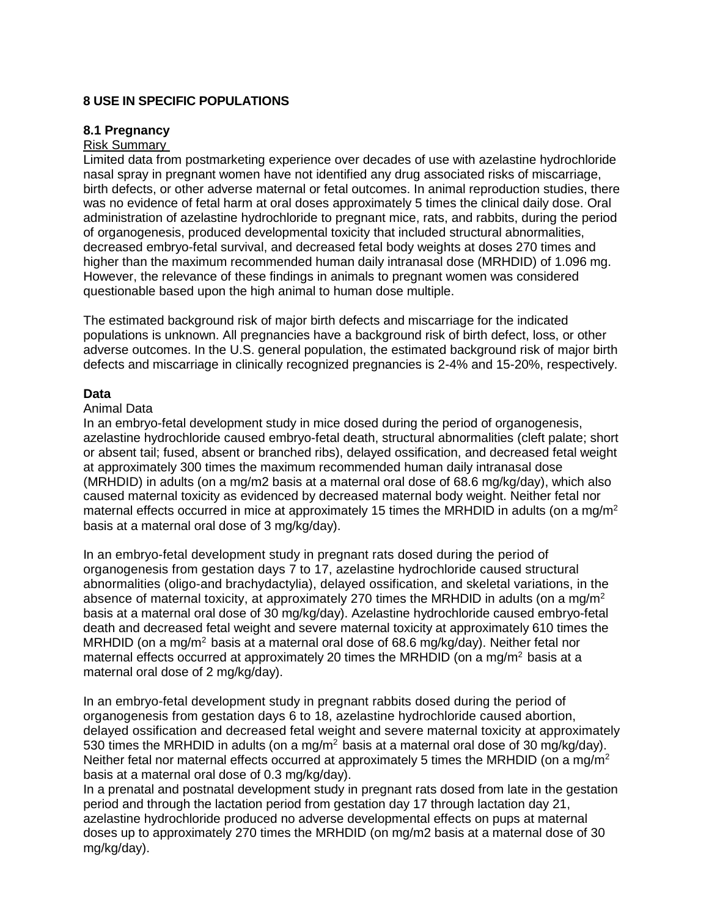## <span id="page-5-0"></span>**8 USE IN SPECIFIC POPULATIONS**

### <span id="page-5-1"></span>**8.1 Pregnancy**

## Risk Summary

Limited data from postmarketing experience over decades of use with azelastine hydrochloride nasal spray in pregnant women have not identified any drug associated risks of miscarriage, birth defects, or other adverse maternal or fetal outcomes. In animal reproduction studies, there was no evidence of fetal harm at oral doses approximately 5 times the clinical daily dose. Oral administration of azelastine hydrochloride to pregnant mice, rats, and rabbits, during the period of organogenesis, produced developmental toxicity that included structural abnormalities, decreased embryo-fetal survival, and decreased fetal body weights at doses 270 times and higher than the maximum recommended human daily intranasal dose (MRHDID) of 1.096 mg. However, the relevance of these findings in animals to pregnant women was considered questionable based upon the high animal to human dose multiple.

The estimated background risk of major birth defects and miscarriage for the indicated populations is unknown. All pregnancies have a background risk of birth defect, loss, or other adverse outcomes. In the U.S. general population, the estimated background risk of major birth defects and miscarriage in clinically recognized pregnancies is 2-4% and 15-20%, respectively.

#### **Data**

#### Animal Data

In an embryo-fetal development study in mice dosed during the period of organogenesis, azelastine hydrochloride caused embryo-fetal death, structural abnormalities (cleft palate; short or absent tail; fused, absent or branched ribs), delayed ossification, and decreased fetal weight at approximately 300 times the maximum recommended human daily intranasal dose (MRHDID) in adults (on a mg/m2 basis at a maternal oral dose of 68.6 mg/kg/day), which also caused maternal toxicity as evidenced by decreased maternal body weight. Neither fetal nor maternal effects occurred in mice at approximately 15 times the MRHDID in adults (on a mg/m<sup>2</sup> basis at a maternal oral dose of 3 mg/kg/day).

In an embryo-fetal development study in pregnant rats dosed during the period of organogenesis from gestation days 7 to 17, azelastine hydrochloride caused structural abnormalities (oligo-and brachydactylia), delayed ossification, and skeletal variations, in the absence of maternal toxicity, at approximately 270 times the MRHDID in adults (on a mg/m<sup>2</sup> basis at a maternal oral dose of 30 mg/kg/day). Azelastine hydrochloride caused embryo-fetal death and decreased fetal weight and severe maternal toxicity at approximately 610 times the MRHDID (on a mg/m<sup>2</sup> basis at a maternal oral dose of 68.6 mg/kg/day). Neither fetal nor maternal effects occurred at approximately 20 times the MRHDID (on a mg/m<sup>2</sup> basis at a maternal oral dose of 2 mg/kg/day).

In an embryo-fetal development study in pregnant rabbits dosed during the period of organogenesis from gestation days 6 to 18, azelastine hydrochloride caused abortion, delayed ossification and decreased fetal weight and severe maternal toxicity at approximately 530 times the MRHDID in adults (on a mg/m<sup>2</sup> basis at a maternal oral dose of 30 mg/kg/day). Neither fetal nor maternal effects occurred at approximately 5 times the MRHDID (on a mg/m<sup>2</sup> basis at a maternal oral dose of 0.3 mg/kg/day).

In a prenatal and postnatal development study in pregnant rats dosed from late in the gestation period and through the lactation period from gestation day 17 through lactation day 21, azelastine hydrochloride produced no adverse developmental effects on pups at maternal doses up to approximately 270 times the MRHDID (on mg/m2 basis at a maternal dose of 30 mg/kg/day).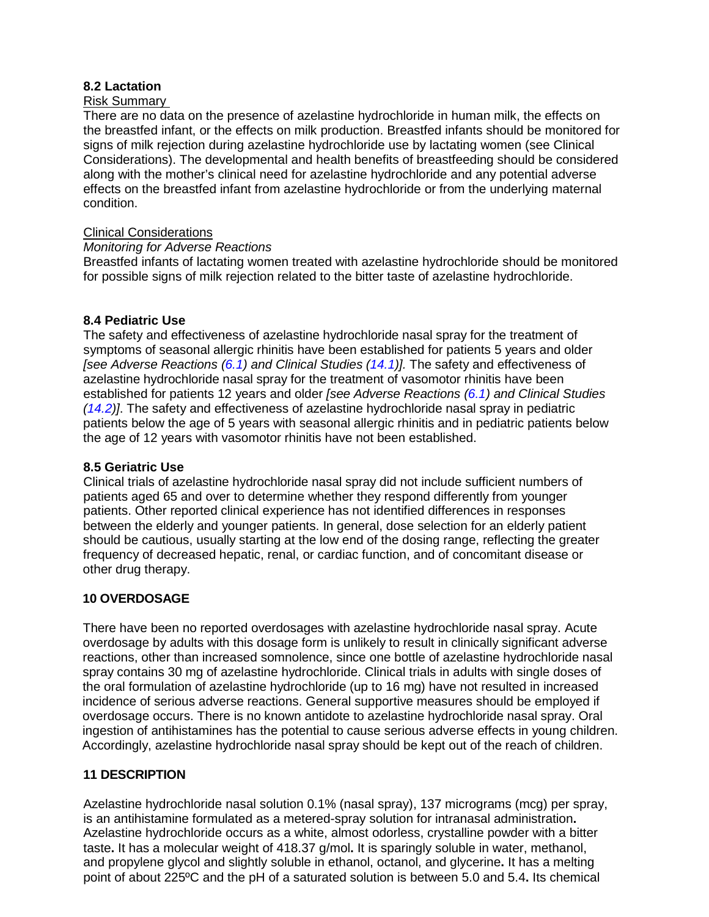## <span id="page-6-0"></span>**8.2 Lactation**

## Risk Summary

There are no data on the presence of azelastine hydrochloride in human milk, the effects on the breastfed infant, or the effects on milk production. Breastfed infants should be monitored for signs of milk rejection during azelastine hydrochloride use by lactating women (see Clinical Considerations). The developmental and health benefits of breastfeeding should be considered along with the mother's clinical need for azelastine hydrochloride and any potential adverse effects on the breastfed infant from azelastine hydrochloride or from the underlying maternal condition.

## Clinical Considerations

## *Monitoring for Adverse Reactions*

Breastfed infants of lactating women treated with azelastine hydrochloride should be monitored for possible signs of milk rejection related to the bitter taste of azelastine hydrochloride.

# <span id="page-6-1"></span>**8.4 Pediatric Use**

The safety and effectiveness of azelastine hydrochloride nasal spray for the treatment of symptoms of seasonal allergic rhinitis have been established for patients 5 years and older *[see Adverse Reactions [\(6.1\)](#page-2-0) and Clinical Studies [\(14.1\)](#page-9-3)].* The safety and effectiveness of azelastine hydrochloride nasal spray for the treatment of vasomotor rhinitis have been established for patients 12 years and older *[see Adverse Reactions [\(6.1\)](#page-2-0) and Clinical Studies [\(14.2\)](#page-11-0)]*. The safety and effectiveness of azelastine hydrochloride nasal spray in pediatric patients below the age of 5 years with seasonal allergic rhinitis and in pediatric patients below the age of 12 years with vasomotor rhinitis have not been established.

## <span id="page-6-2"></span>**8.5 Geriatric Use**

Clinical trials of azelastine hydrochloride nasal spray did not include sufficient numbers of patients aged 65 and over to determine whether they respond differently from younger patients. Other reported clinical experience has not identified differences in responses between the elderly and younger patients. In general, dose selection for an elderly patient should be cautious, usually starting at the low end of the dosing range, reflecting the greater frequency of decreased hepatic, renal, or cardiac function, and of concomitant disease or other drug therapy.

## **10 OVERDOSAGE**

There have been no reported overdosages with azelastine hydrochloride nasal spray. Acute overdosage by adults with this dosage form is unlikely to result in clinically significant adverse reactions, other than increased somnolence, since one bottle of azelastine hydrochloride nasal spray contains 30 mg of azelastine hydrochloride. Clinical trials in adults with single doses of the oral formulation of azelastine hydrochloride (up to 16 mg) have not resulted in increased incidence of serious adverse reactions. General supportive measures should be employed if overdosage occurs. There is no known antidote to azelastine hydrochloride nasal spray. Oral ingestion of antihistamines has the potential to cause serious adverse effects in young children. Accordingly, azelastine hydrochloride nasal spray should be kept out of the reach of children.

## <span id="page-6-3"></span>**11 DESCRIPTION**

Azelastine hydrochloride nasal solution 0.1% (nasal spray), 137 micrograms (mcg) per spray, is an antihistamine formulated as a metered-spray solution for intranasal administration**.**  Azelastine hydrochloride occurs as a white, almost odorless, crystalline powder with a bitter taste**.** It has a molecular weight of 418.37 g/mol**.** It is sparingly soluble in water, methanol, and propylene glycol and slightly soluble in ethanol, octanol, and glycerine**.** It has a melting point of about 225ºC and the pH of a saturated solution is between 5.0 and 5.4**.** Its chemical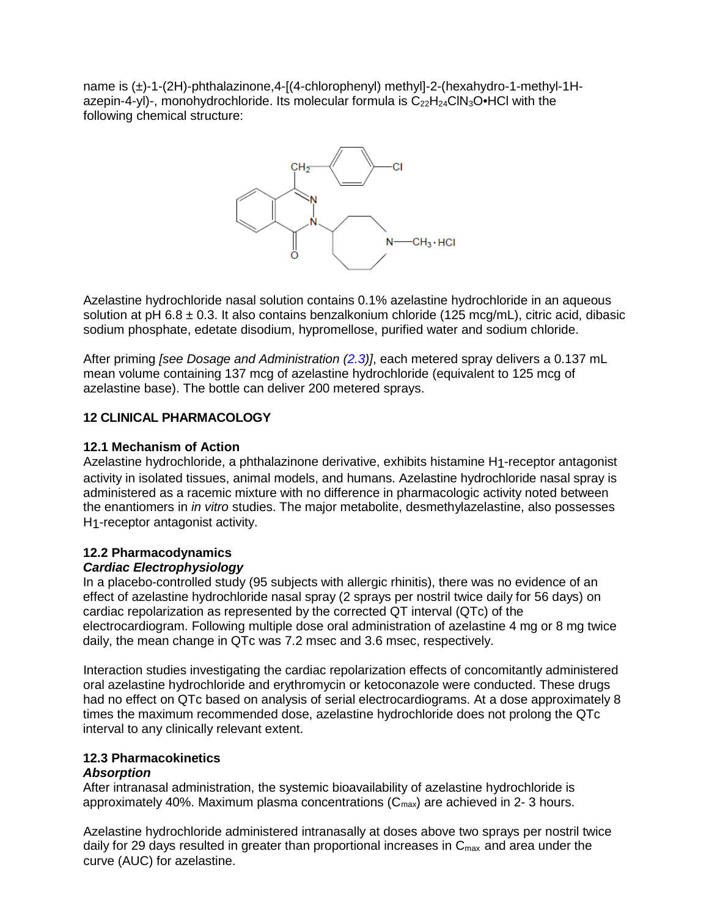name is (±)-1-(2H)-phthalazinone,4-[(4-chlorophenyl) methyl]-2-(hexahydro-1-methyl-1Hazepin-4-yl)-, monohydrochloride. Its molecular formula is  $C_{22}H_{24}CIN_3O\bullet$ HCl with the following chemical structure:



Azelastine hydrochloride nasal solution contains 0.1% azelastine hydrochloride in an aqueous solution at pH 6.8  $\pm$  0.3. It also contains benzalkonium chloride (125 mcg/mL), citric acid, dibasic sodium phosphate, edetate disodium, hypromellose, purified water and sodium chloride.

After priming *[see Dosage and Administration [\(2.3\)](#page-1-1)]*, each metered spray delivers a 0.137 mL mean volume containing 137 mcg of azelastine hydrochloride (equivalent to 125 mcg of azelastine base). The bottle can deliver 200 metered sprays.

# <span id="page-7-0"></span>**12 CLINICAL PHARMACOLOGY**

## <span id="page-7-1"></span>**12.1 Mechanism of Action**

Azelastine hydrochloride, a phthalazinone derivative, exhibits histamine H1-receptor antagonist activity in isolated tissues, animal models, and humans. Azelastine hydrochloride nasal spray is administered as a racemic mixture with no difference in pharmacologic activity noted between the enantiomers in *in vitro* studies. The major metabolite, desmethylazelastine, also possesses H1-receptor antagonist activity.

#### <span id="page-7-2"></span>**12.2 Pharmacodynamics** *Cardiac Electrophysiology*

In a placebo-controlled study (95 subjects with allergic rhinitis), there was no evidence of an effect of azelastine hydrochloride nasal spray (2 sprays per nostril twice daily for 56 days) on cardiac repolarization as represented by the corrected QT interval (QTc) of the electrocardiogram. Following multiple dose oral administration of azelastine 4 mg or 8 mg twice daily, the mean change in QTc was 7.2 msec and 3.6 msec, respectively.

Interaction studies investigating the cardiac repolarization effects of concomitantly administered oral azelastine hydrochloride and erythromycin or ketoconazole were conducted. These drugs had no effect on QTc based on analysis of serial electrocardiograms. At a dose approximately 8 times the maximum recommended dose, azelastine hydrochloride does not prolong the QTc interval to any clinically relevant extent.

# <span id="page-7-3"></span>**12.3 Pharmacokinetics**

## *Absorption*

After intranasal administration, the systemic bioavailability of azelastine hydrochloride is approximately 40%. Maximum plasma concentrations  $(C_{\text{max}})$  are achieved in 2-3 hours.

Azelastine hydrochloride administered intranasally at doses above two sprays per nostril twice daily for 29 days resulted in greater than proportional increases in  $C_{\text{max}}$  and area under the curve (AUC) for azelastine.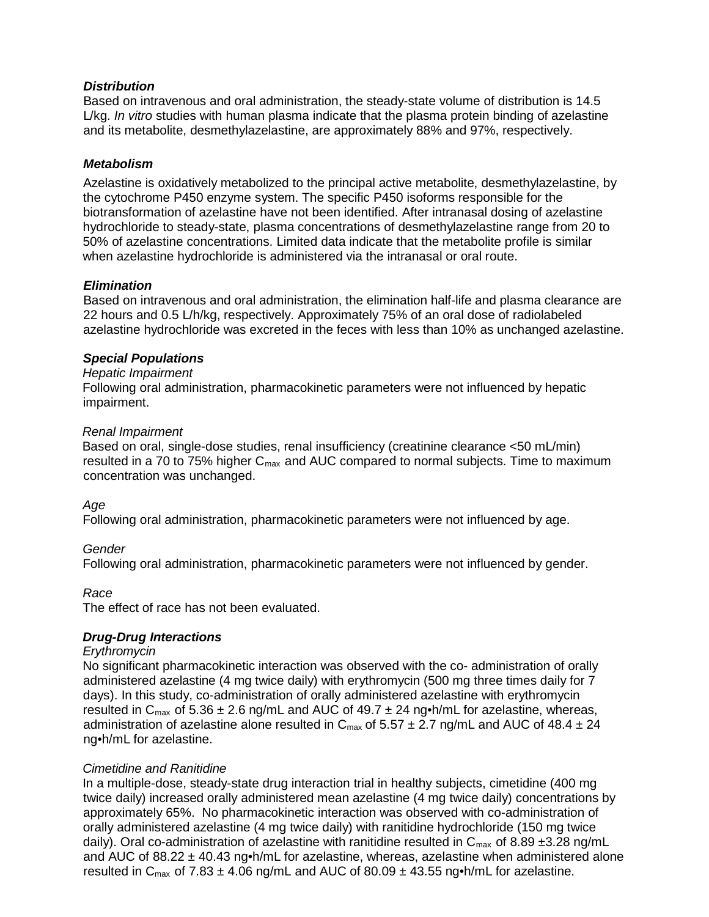## *Distribution*

Based on intravenous and oral administration, the steady-state volume of distribution is 14.5 L/kg. *In vitro* studies with human plasma indicate that the plasma protein binding of azelastine and its metabolite, desmethylazelastine, are approximately 88% and 97%, respectively.

## *Metabolism*

Azelastine is oxidatively metabolized to the principal active metabolite, desmethylazelastine, by the cytochrome P450 enzyme system. The specific P450 isoforms responsible for the biotransformation of azelastine have not been identified. After intranasal dosing of azelastine hydrochloride to steady-state, plasma concentrations of desmethylazelastine range from 20 to 50% of azelastine concentrations. Limited data indicate that the metabolite profile is similar when azelastine hydrochloride is administered via the intranasal or oral route.

# *Elimination*

Based on intravenous and oral administration, the elimination half-life and plasma clearance are 22 hours and 0.5 L/h/kg, respectively. Approximately 75% of an oral dose of radiolabeled azelastine hydrochloride was excreted in the feces with less than 10% as unchanged azelastine.

# *Special Populations*

## *Hepatic Impairment*

Following oral administration, pharmacokinetic parameters were not influenced by hepatic impairment.

## *Renal Impairment*

Based on oral, single-dose studies, renal insufficiency (creatinine clearance <50 mL/min) resulted in a 70 to 75% higher  $C_{\text{max}}$  and AUC compared to normal subjects. Time to maximum concentration was unchanged.

## *Age*

Following oral administration, pharmacokinetic parameters were not influenced by age.

## *Gender*

Following oral administration, pharmacokinetic parameters were not influenced by gender.

## *Race*

The effect of race has not been evaluated.

# *Drug-Drug Interactions*

## *Erythromycin*

No significant pharmacokinetic interaction was observed with the co- administration of orally administered azelastine (4 mg twice daily) with erythromycin (500 mg three times daily for 7 days). In this study, co-administration of orally administered azelastine with erythromycin resulted in  $C_{\text{max}}$  of 5.36  $\pm$  2.6 ng/mL and AUC of 49.7  $\pm$  24 ng•h/mL for azelastine, whereas, administration of azelastine alone resulted in  $C_{\text{max}}$  of 5.57  $\pm$  2.7 ng/mL and AUC of 48.4  $\pm$  24 ng•h/mL for azelastine.

## *Cimetidine and Ranitidine*

In a multiple-dose, steady-state drug interaction trial in healthy subjects, cimetidine (400 mg twice daily) increased orally administered mean azelastine (4 mg twice daily) concentrations by approximately 65%. No pharmacokinetic interaction was observed with co-administration of orally administered azelastine (4 mg twice daily) with ranitidine hydrochloride (150 mg twice daily). Oral co-administration of azelastine with ranitidine resulted in  $C_{\text{max}}$  of 8.89 ±3.28 ng/mL and AUC of 88.22  $\pm$  40.43 ng•h/mL for azelastine, whereas, azelastine when administered alone resulted in C<sub>max</sub> of 7.83  $\pm$  4.06 ng/mL and AUC of 80.09  $\pm$  43.55 ng•h/mL for azelastine.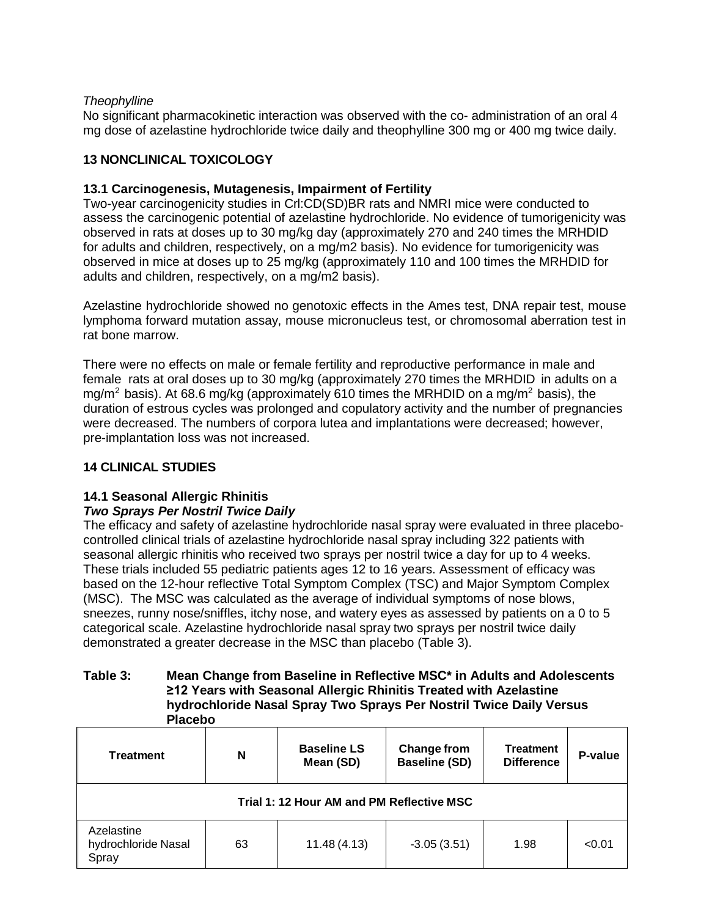## *Theophylline*

No significant pharmacokinetic interaction was observed with the co- administration of an oral 4 mg dose of azelastine hydrochloride twice daily and theophylline 300 mg or 400 mg twice daily.

# <span id="page-9-0"></span>**13 NONCLINICAL TOXICOLOGY**

# <span id="page-9-1"></span>**13.1 Carcinogenesis, Mutagenesis, Impairment of Fertility**

Two-year carcinogenicity studies in Crl:CD(SD)BR rats and NMRI mice were conducted to assess the carcinogenic potential of azelastine hydrochloride. No evidence of tumorigenicity was observed in rats at doses up to 30 mg/kg day (approximately 270 and 240 times the MRHDID for adults and children, respectively, on a mg/m2 basis). No evidence for tumorigenicity was observed in mice at doses up to 25 mg/kg (approximately 110 and 100 times the MRHDID for adults and children, respectively, on a mg/m2 basis).

Azelastine hydrochloride showed no genotoxic effects in the Ames test, DNA repair test, mouse lymphoma forward mutation assay, mouse micronucleus test, or chromosomal aberration test in rat bone marrow.

There were no effects on male or female fertility and reproductive performance in male and female rats at oral doses up to 30 mg/kg (approximately 270 times the MRHDID in adults on a mg/m<sup>2</sup> basis). At 68.6 mg/kg (approximately 610 times the MRHDID on a mg/m<sup>2</sup> basis), the duration of estrous cycles was prolonged and copulatory activity and the number of pregnancies were decreased. The numbers of corpora lutea and implantations were decreased; however, pre-implantation loss was not increased.

## <span id="page-9-2"></span>**14 CLINICAL STUDIES**

# <span id="page-9-3"></span>**14.1 Seasonal Allergic Rhinitis**

## *Two Sprays Per Nostril Twice Daily*

The efficacy and safety of azelastine hydrochloride nasal spray were evaluated in three placebocontrolled clinical trials of azelastine hydrochloride nasal spray including 322 patients with seasonal allergic rhinitis who received two sprays per nostril twice a day for up to 4 weeks. These trials included 55 pediatric patients ages 12 to 16 years. Assessment of efficacy was based on the 12-hour reflective Total Symptom Complex (TSC) and Major Symptom Complex (MSC). The MSC was calculated as the average of individual symptoms of nose blows, sneezes, runny nose/sniffles, itchy nose, and watery eyes as assessed by patients on a 0 to 5 categorical scale. Azelastine hydrochloride nasal spray two sprays per nostril twice daily demonstrated a greater decrease in the MSC than placebo (Table 3).

### **Table 3: Mean Change from Baseline in Reflective MSC\* in Adults and Adolescents ≥12 Years with Seasonal Allergic Rhinitis Treated with Azelastine hydrochloride Nasal Spray Two Sprays Per Nostril Twice Daily Versus Placebo**

| <b>Treatment</b>                           | N  | <b>Baseline LS</b><br>Mean (SD) | Change from<br><b>Baseline (SD)</b> | <b>Treatment</b><br><b>Difference</b> | P-value |
|--------------------------------------------|----|---------------------------------|-------------------------------------|---------------------------------------|---------|
| Trial 1: 12 Hour AM and PM Reflective MSC  |    |                                 |                                     |                                       |         |
| Azelastine<br>hydrochloride Nasal<br>Spray | 63 | 11.48(4.13)                     | $-3.05(3.51)$                       | 1.98                                  | < 0.01  |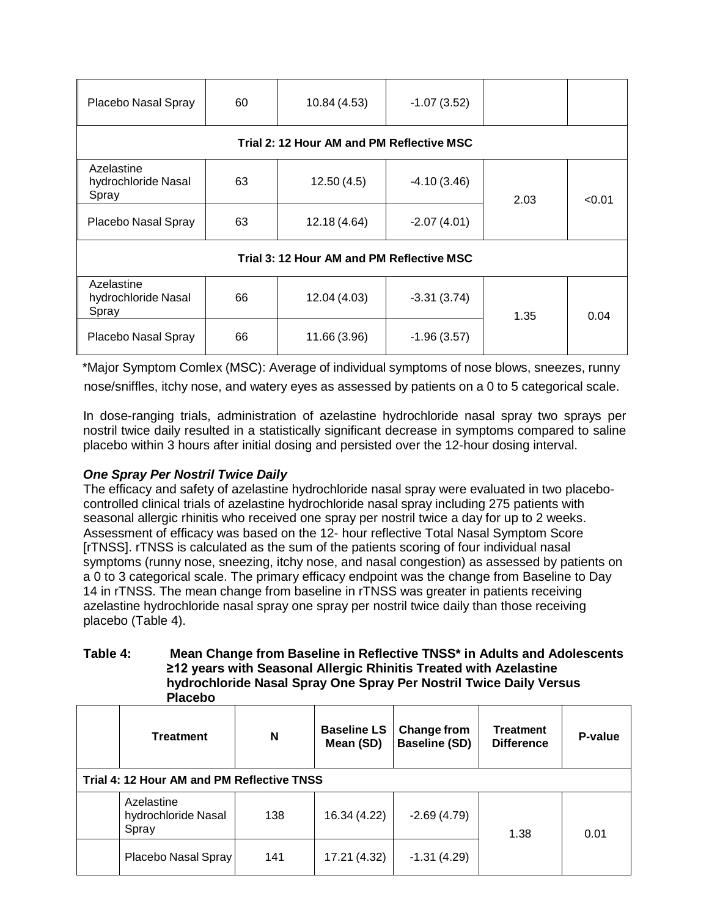| Placebo Nasal Spray                        | 60 | 10.84 (4.53) | $-1.07(3.52)$ |      |        |
|--------------------------------------------|----|--------------|---------------|------|--------|
| Trial 2: 12 Hour AM and PM Reflective MSC  |    |              |               |      |        |
| Azelastine<br>hydrochloride Nasal<br>Spray | 63 | 12.50(4.5)   | $-4.10(3.46)$ | 2.03 | < 0.01 |
| Placebo Nasal Spray                        | 63 | 12.18 (4.64) | $-2.07(4.01)$ |      |        |
| Trial 3: 12 Hour AM and PM Reflective MSC  |    |              |               |      |        |
| Azelastine<br>hydrochloride Nasal<br>Spray | 66 | 12.04 (4.03) | $-3.31(3.74)$ | 1.35 | 0.04   |
| Placebo Nasal Spray                        | 66 | 11.66 (3.96) | $-1.96(3.57)$ |      |        |

 \*Major Symptom Comlex (MSC): Average of individual symptoms of nose blows, sneezes, runny nose/sniffles, itchy nose, and watery eyes as assessed by patients on a 0 to 5 categorical scale.

In dose-ranging trials, administration of azelastine hydrochloride nasal spray two sprays per nostril twice daily resulted in a statistically significant decrease in symptoms compared to saline placebo within 3 hours after initial dosing and persisted over the 12-hour dosing interval.

# *One Spray Per Nostril Twice Daily*

The efficacy and safety of azelastine hydrochloride nasal spray were evaluated in two placebocontrolled clinical trials of azelastine hydrochloride nasal spray including 275 patients with seasonal allergic rhinitis who received one spray per nostril twice a day for up to 2 weeks. Assessment of efficacy was based on the 12- hour reflective Total Nasal Symptom Score [rTNSS]. rTNSS is calculated as the sum of the patients scoring of four individual nasal symptoms (runny nose, sneezing, itchy nose, and nasal congestion) as assessed by patients on a 0 to 3 categorical scale. The primary efficacy endpoint was the change from Baseline to Day 14 in rTNSS. The mean change from baseline in rTNSS was greater in patients receiving azelastine hydrochloride nasal spray one spray per nostril twice daily than those receiving placebo (Table 4).

## **Table 4: Mean Change from Baseline in Reflective TNSS\* in Adults and Adolescents ≥12 years with Seasonal Allergic Rhinitis Treated with Azelastine hydrochloride Nasal Spray One Spray Per Nostril Twice Daily Versus Placebo**

| <b>Treatment</b>                           | N   | <b>Baseline LS</b><br>Mean (SD) | Change from<br><b>Baseline (SD)</b> | <b>Treatment</b><br><b>Difference</b> | P-value |
|--------------------------------------------|-----|---------------------------------|-------------------------------------|---------------------------------------|---------|
| Trial 4: 12 Hour AM and PM Reflective TNSS |     |                                 |                                     |                                       |         |
| Azelastine<br>hydrochloride Nasal<br>Spray | 138 | 16.34 (4.22)                    | $-2.69(4.79)$                       | 1.38                                  | 0.01    |
| Placebo Nasal Spray                        | 141 | 17.21 (4.32)                    | $-1.31(4.29)$                       |                                       |         |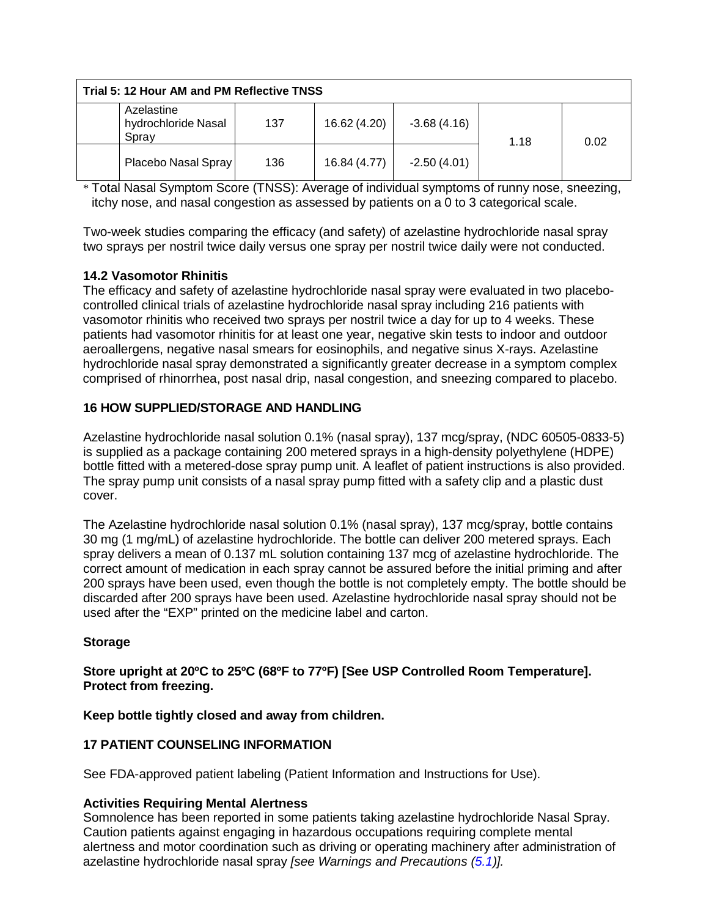| Trial 5: 12 Hour AM and PM Reflective TNSS |                                            |     |              |               |      |      |
|--------------------------------------------|--------------------------------------------|-----|--------------|---------------|------|------|
|                                            | Azelastine<br>hydrochloride Nasal<br>Spray | 137 | 16.62 (4.20) | $-3.68(4.16)$ | 1.18 | 0.02 |
|                                            | Placebo Nasal Spray                        | 136 | 16.84 (4.77) | $-2.50(4.01)$ |      |      |

\* Total Nasal Symptom Score (TNSS): Average of individual symptoms of runny nose, sneezing, itchy nose, and nasal congestion as assessed by patients on a 0 to 3 categorical scale.

Two-week studies comparing the efficacy (and safety) of azelastine hydrochloride nasal spray two sprays per nostril twice daily versus one spray per nostril twice daily were not conducted.

# <span id="page-11-0"></span>**14.2 Vasomotor Rhinitis**

The efficacy and safety of azelastine hydrochloride nasal spray were evaluated in two placebocontrolled clinical trials of azelastine hydrochloride nasal spray including 216 patients with vasomotor rhinitis who received two sprays per nostril twice a day for up to 4 weeks. These patients had vasomotor rhinitis for at least one year, negative skin tests to indoor and outdoor aeroallergens, negative nasal smears for eosinophils, and negative sinus X-rays. Azelastine hydrochloride nasal spray demonstrated a significantly greater decrease in a symptom complex comprised of rhinorrhea, post nasal drip, nasal congestion, and sneezing compared to placebo.

# <span id="page-11-1"></span>**16 HOW SUPPLIED/STORAGE AND HANDLING**

Azelastine hydrochloride nasal solution 0.1% (nasal spray), 137 mcg/spray, (NDC 60505-0833-5) is supplied as a package containing 200 metered sprays in a high-density polyethylene (HDPE) bottle fitted with a metered-dose spray pump unit. A leaflet of patient instructions is also provided. The spray pump unit consists of a nasal spray pump fitted with a safety clip and a plastic dust cover.

The Azelastine hydrochloride nasal solution 0.1% (nasal spray), 137 mcg/spray, bottle contains 30 mg (1 mg/mL) of azelastine hydrochloride. The bottle can deliver 200 metered sprays. Each spray delivers a mean of 0.137 mL solution containing 137 mcg of azelastine hydrochloride. The correct amount of medication in each spray cannot be assured before the initial priming and after 200 sprays have been used, even though the bottle is not completely empty. The bottle should be discarded after 200 sprays have been used. Azelastine hydrochloride nasal spray should not be used after the "EXP" printed on the medicine label and carton.

## **Storage**

## **Store upright at 20ºC to 25ºC (68ºF to 77ºF) [See USP Controlled Room Temperature]. Protect from freezing.**

## **Keep bottle tightly closed and away from children.**

# <span id="page-11-2"></span>**17 PATIENT COUNSELING INFORMATION**

See FDA-approved patient labeling (Patient Information and Instructions for Use).

## **Activities Requiring Mental Alertness**

Somnolence has been reported in some patients taking azelastine hydrochloride Nasal Spray. Caution patients against engaging in hazardous occupations requiring complete mental alertness and motor coordination such as driving or operating machinery after administration of azelastine hydrochloride nasal spray *[see Warnings and Precautions [\(5.1\)](#page-1-6)].*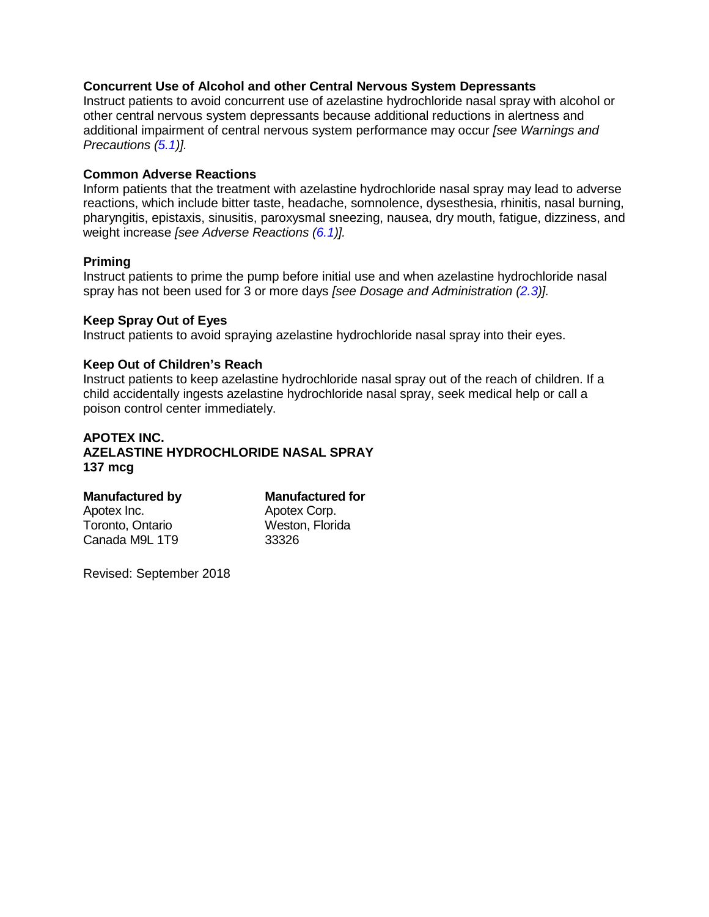## **Concurrent Use of Alcohol and other Central Nervous System Depressants**

Instruct patients to avoid concurrent use of azelastine hydrochloride nasal spray with alcohol or other central nervous system depressants because additional reductions in alertness and additional impairment of central nervous system performance may occur *[see Warnings and Precautions [\(5.1\)](#page-1-6)].*

## **Common Adverse Reactions**

Inform patients that the treatment with azelastine hydrochloride nasal spray may lead to adverse reactions, which include bitter taste, headache, somnolence, dysesthesia, rhinitis, nasal burning, pharyngitis, epistaxis, sinusitis, paroxysmal sneezing, nausea, dry mouth, fatigue, dizziness, and weight increase *[see Adverse Reactions [\(6.1\)](#page-2-0)].*

## **Priming**

Instruct patients to prime the pump before initial use and when azelastine hydrochloride nasal spray has not been used for 3 or more days *[see Dosage and Administration [\(2.3\)](#page-1-1)].*

### **Keep Spray Out of Eyes**

Instruct patients to avoid spraying azelastine hydrochloride nasal spray into their eyes.

## **Keep Out of Children's Reach**

Instruct patients to keep azelastine hydrochloride nasal spray out of the reach of children. If a child accidentally ingests azelastine hydrochloride nasal spray, seek medical help or call a poison control center immediately.

# **APOTEX INC. AZELASTINE HYDROCHLORIDE NASAL SPRAY 137 mcg**

| <b>Manufactured for</b> |  |  |
|-------------------------|--|--|
| Apotex Corp.            |  |  |
| Weston, Florida         |  |  |
| 33326                   |  |  |
|                         |  |  |

Revised: September 2018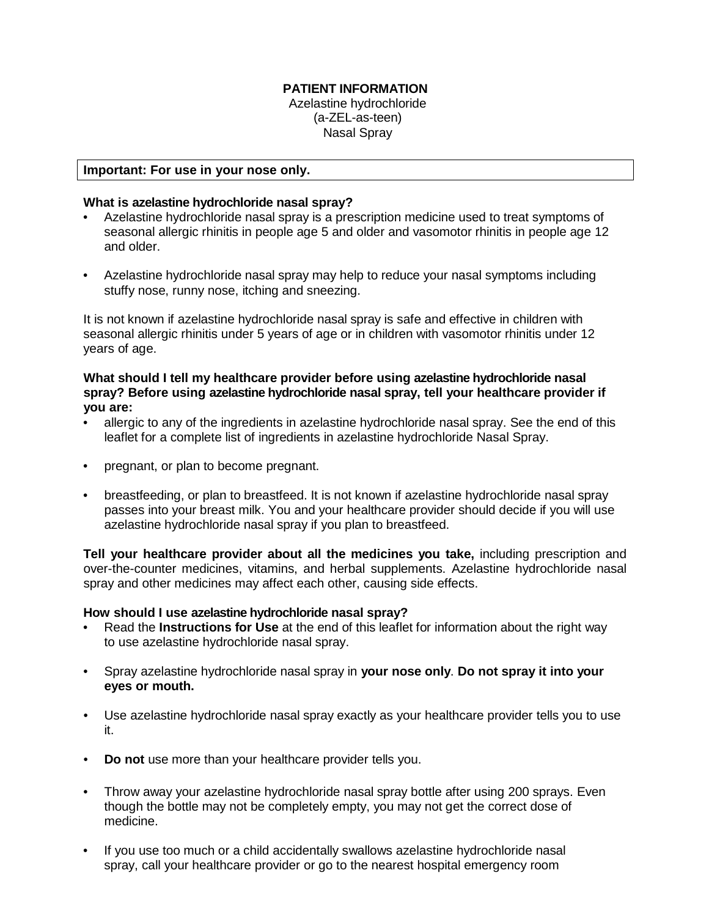## **PATIENT INFORMATION**

Azelastine hydrochloride (a-ZEL-as-teen) Nasal Spray

#### **Important: For use in your nose only.**

### **What is azelastine hydrochloride nasal spray?**

- Azelastine hydrochloride nasal spray is a prescription medicine used to treat symptoms of seasonal allergic rhinitis in people age 5 and older and vasomotor rhinitis in people age 12 and older.
- Azelastine hydrochloride nasal spray may help to reduce your nasal symptoms including stuffy nose, runny nose, itching and sneezing.

It is not known if azelastine hydrochloride nasal spray is safe and effective in children with seasonal allergic rhinitis under 5 years of age or in children with vasomotor rhinitis under 12 years of age.

## **What should I tell my healthcare provider before using azelastine hydrochloride nasal spray? Before using azelastine hydrochloride nasal spray, tell your healthcare provider if you are:**

- allergic to any of the ingredients in azelastine hydrochloride nasal spray. See the end of this leaflet for a complete list of ingredients in azelastine hydrochloride Nasal Spray.
- pregnant, or plan to become pregnant.
- breastfeeding, or plan to breastfeed. It is not known if azelastine hydrochloride nasal spray passes into your breast milk. You and your healthcare provider should decide if you will use azelastine hydrochloride nasal spray if you plan to breastfeed.

**Tell your healthcare provider about all the medicines you take,** including prescription and over-the-counter medicines, vitamins, and herbal supplements. Azelastine hydrochloride nasal spray and other medicines may affect each other, causing side effects.

### **How should I use azelastine hydrochloride nasal spray?**

- Read the **Instructions for Use** at the end of this leaflet for information about the right way to use azelastine hydrochloride nasal spray.
- Spray azelastine hydrochloride nasal spray in **your nose only**. **Do not spray it into your eyes or mouth.**
- Use azelastine hydrochloride nasal spray exactly as your healthcare provider tells you to use it.
- **Do not** use more than your healthcare provider tells you.
- Throw away your azelastine hydrochloride nasal spray bottle after using 200 sprays. Even though the bottle may not be completely empty, you may not get the correct dose of medicine.
- If you use too much or a child accidentally swallows azelastine hydrochloride nasal spray, call your healthcare provider or go to the nearest hospital emergency room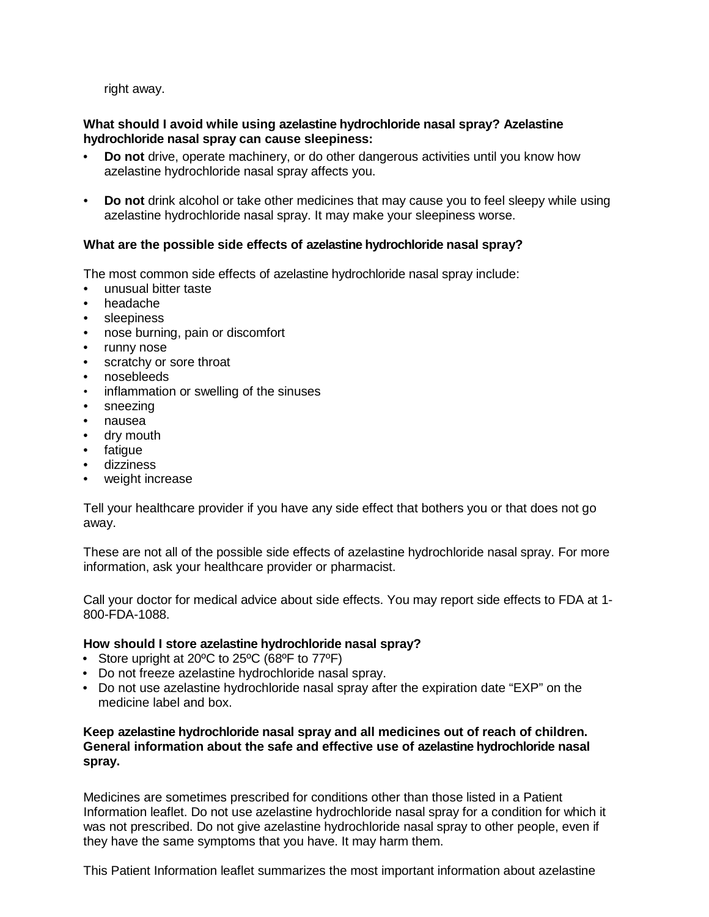right away.

## **What should I avoid while using azelastine hydrochloride nasal spray? Azelastine hydrochloride nasal spray can cause sleepiness:**

- **Do not** drive, operate machinery, or do other dangerous activities until you know how azelastine hydrochloride nasal spray affects you.
- **Do not** drink alcohol or take other medicines that may cause you to feel sleepy while using azelastine hydrochloride nasal spray. It may make your sleepiness worse.

## **What are the possible side effects of azelastine hydrochloride nasal spray?**

The most common side effects of azelastine hydrochloride nasal spray include:

- unusual bitter taste
- headache
- sleepiness
- nose burning, pain or discomfort
- runny nose
- scratchy or sore throat
- nosebleeds
- inflammation or swelling of the sinuses
- sneezing
- nausea
- dry mouth
- fatique
- dizziness
- weight increase

Tell your healthcare provider if you have any side effect that bothers you or that does not go away.

These are not all of the possible side effects of azelastine hydrochloride nasal spray. For more information, ask your healthcare provider or pharmacist.

Call your doctor for medical advice about side effects. You may report side effects to FDA at 1- 800-FDA-1088.

### **How should I store azelastine hydrochloride nasal spray?**

- Store upright at 20ºC to 25ºC (68ºF to 77ºF)
- Do not freeze azelastine hydrochloride nasal spray.
- Do not use azelastine hydrochloride nasal spray after the expiration date "EXP" on the medicine label and box.

## **Keep azelastine hydrochloride nasal spray and all medicines out of reach of children. General information about the safe and effective use of azelastine hydrochloride nasal spray.**

Medicines are sometimes prescribed for conditions other than those listed in a Patient Information leaflet. Do not use azelastine hydrochloride nasal spray for a condition for which it was not prescribed. Do not give azelastine hydrochloride nasal spray to other people, even if they have the same symptoms that you have. It may harm them.

This Patient Information leaflet summarizes the most important information about azelastine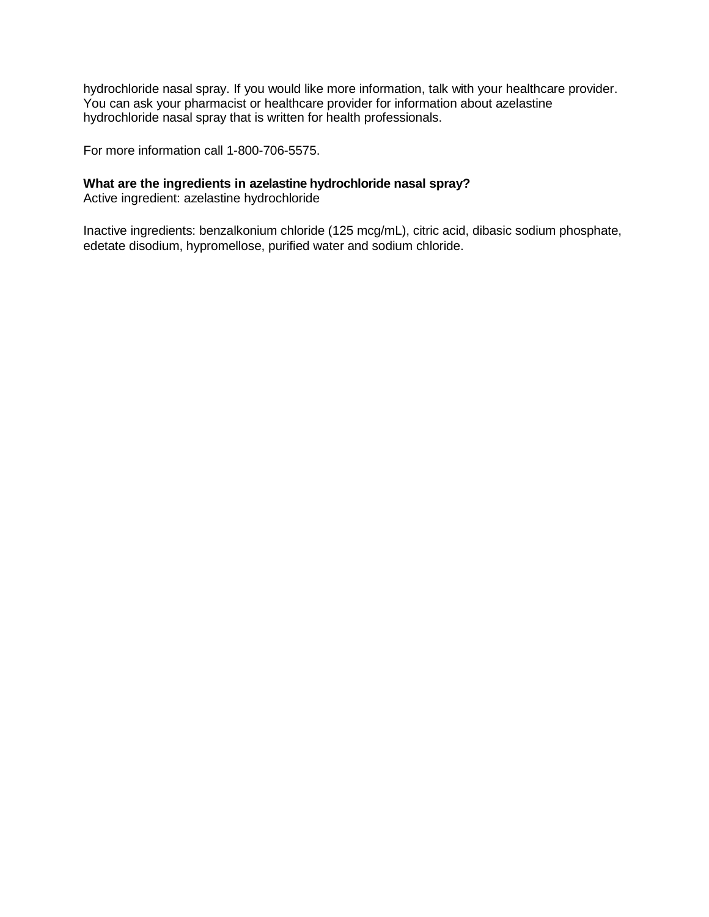hydrochloride nasal spray. If you would like more information, talk with your healthcare provider. You can ask your pharmacist or healthcare provider for information about azelastine hydrochloride nasal spray that is written for health professionals.

For more information call 1-800-706-5575.

# **What are the ingredients in azelastine hydrochloride nasal spray?**

Active ingredient: azelastine hydrochloride

Inactive ingredients: benzalkonium chloride (125 mcg/mL), citric acid, dibasic sodium phosphate, edetate disodium, hypromellose, purified water and sodium chloride.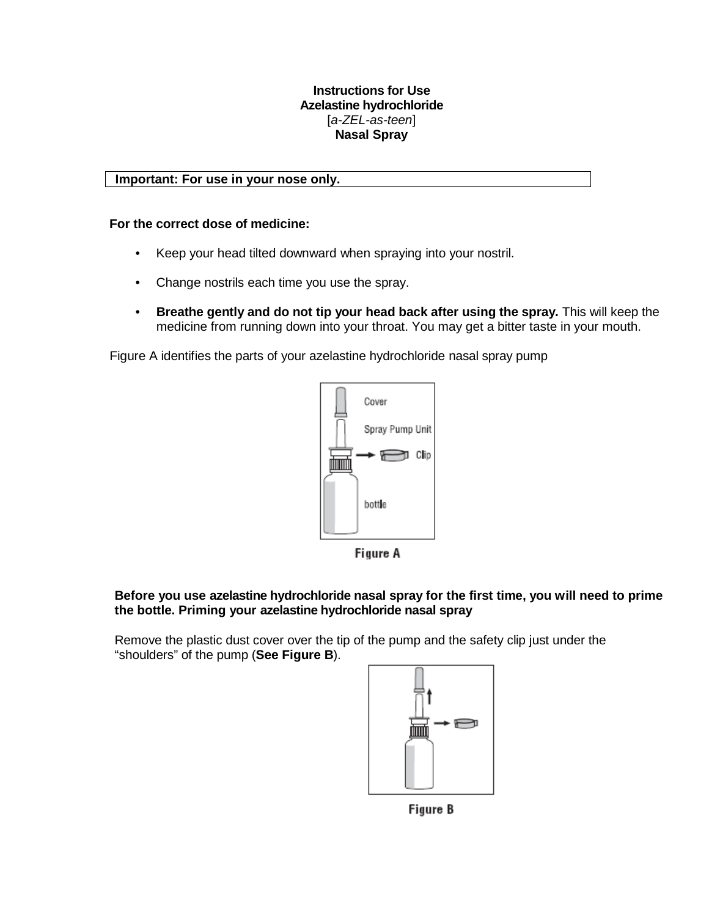## **Instructions for Use Azelastine hydrochloride** [*a-ZEL-as-teen*] **Nasal Spray**

## **Important: For use in your nose only.**

## **For the correct dose of medicine:**

- Keep your head tilted downward when spraying into your nostril.
- Change nostrils each time you use the spray.
- **Breathe gently and do not tip your head back after using the spray.** This will keep the medicine from running down into your throat. You may get a bitter taste in your mouth.

Figure A identifies the parts of your azelastine hydrochloride nasal spray pump



Figure A

## **Before you use azelastine hydrochloride nasal spray for the first time, you will need to prime the bottle. Priming your azelastine hydrochloride nasal spray**

Remove the plastic dust cover over the tip of the pump and the safety clip just under the "shoulders" of the pump (**See Figure B**).



Figure B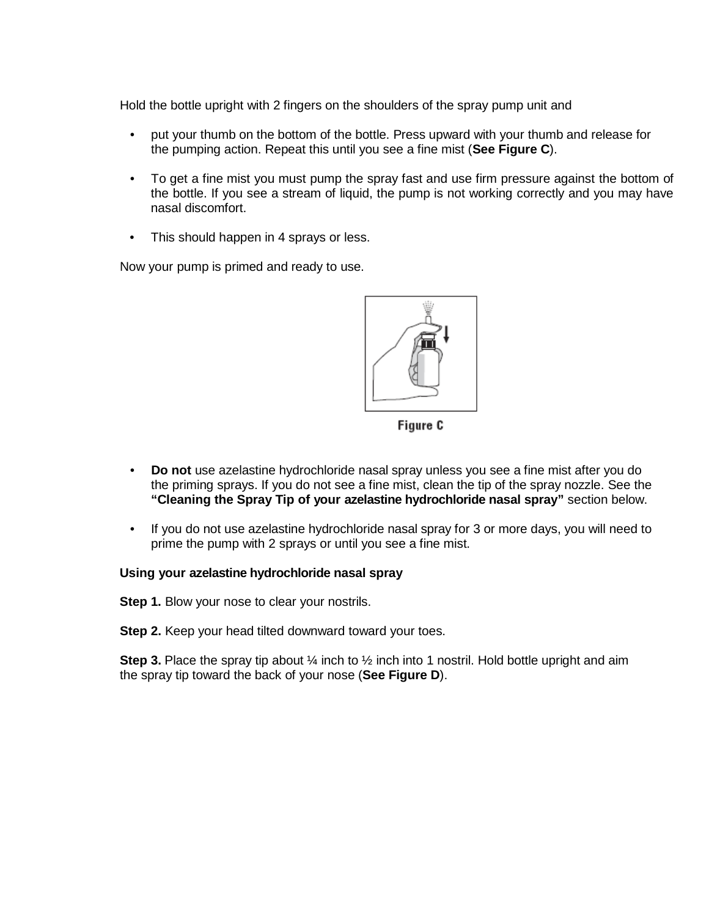Hold the bottle upright with 2 fingers on the shoulders of the spray pump unit and

- put your thumb on the bottom of the bottle. Press upward with your thumb and release for the pumping action. Repeat this until you see a fine mist (**See Figure C**).
- To get a fine mist you must pump the spray fast and use firm pressure against the bottom of the bottle. If you see a stream of liquid, the pump is not working correctly and you may have nasal discomfort.
- This should happen in 4 sprays or less.

Now your pump is primed and ready to use.



Figure C

- **Do not** use azelastine hydrochloride nasal spray unless you see a fine mist after you do the priming sprays. If you do not see a fine mist, clean the tip of the spray nozzle. See the **"Cleaning the Spray Tip of your azelastine hydrochloride nasal spray"** section below.
- If you do not use azelastine hydrochloride nasal spray for 3 or more days, you will need to prime the pump with 2 sprays or until you see a fine mist.

### **Using your azelastine hydrochloride nasal spray**

**Step 1.** Blow your nose to clear your nostrils.

**Step 2.** Keep your head tilted downward toward your toes.

**Step 3.** Place the spray tip about  $\frac{1}{2}$  inch into 1 nostril. Hold bottle upright and aim the spray tip toward the back of your nose (**See Figure D**).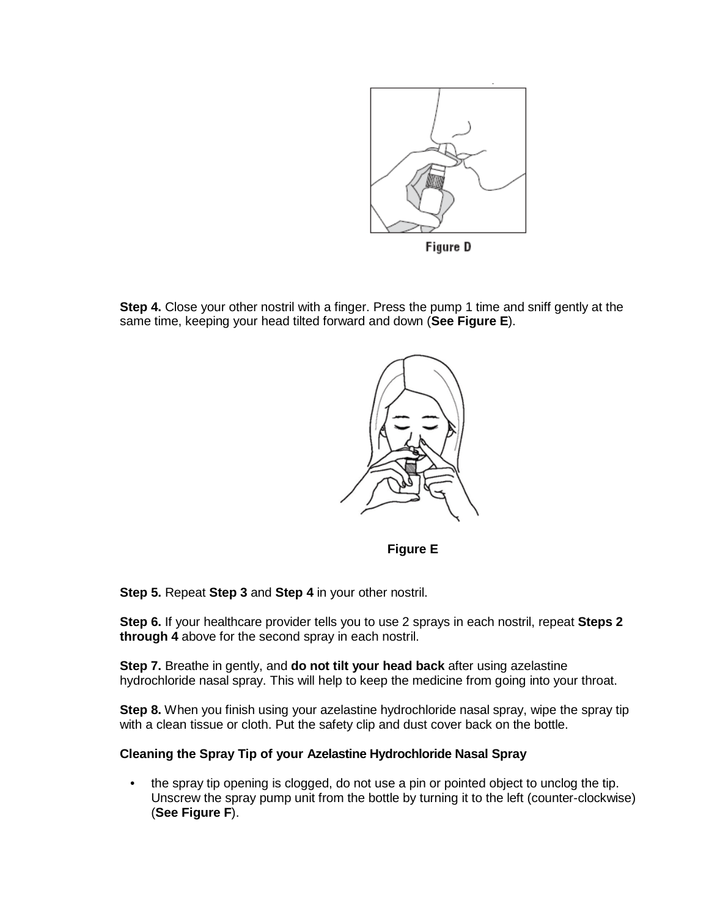

**Step 4.** Close your other nostril with a finger. Press the pump 1 time and sniff gently at the same time, keeping your head tilted forward and down (**See Figure E**).



**Figure E**

**Step 5.** Repeat **Step 3** and **Step 4** in your other nostril.

**Step 6.** If your healthcare provider tells you to use 2 sprays in each nostril, repeat **Steps 2 through 4** above for the second spray in each nostril.

**Step 7.** Breathe in gently, and **do not tilt your head back** after using azelastine hydrochloride nasal spray. This will help to keep the medicine from going into your throat.

**Step 8.** When you finish using your azelastine hydrochloride nasal spray, wipe the spray tip with a clean tissue or cloth. Put the safety clip and dust cover back on the bottle.

### **Cleaning the Spray Tip of your Azelastine Hydrochloride Nasal Spray**

• the spray tip opening is clogged, do not use a pin or pointed object to unclog the tip. Unscrew the spray pump unit from the bottle by turning it to the left (counter-clockwise) (**See Figure F**).